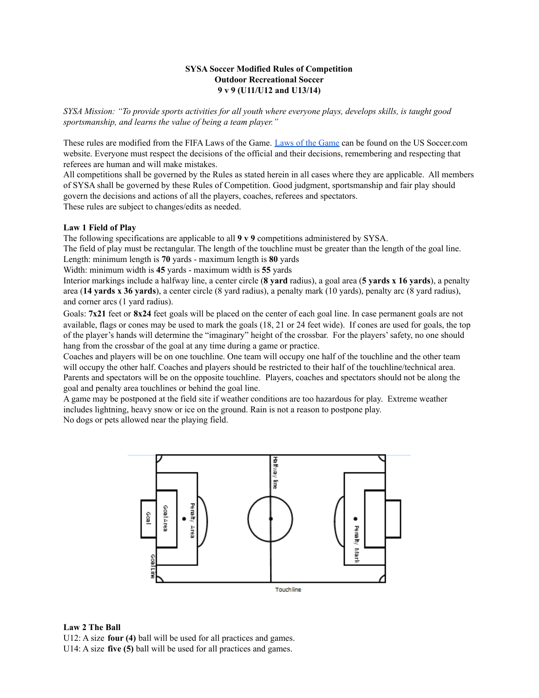## **SYSA Soccer Modified Rules of Competition Outdoor Recreational Soccer 9 v 9 (U11/U12 and U13/14)**

SYSA Mission: "To provide sports activities for all youth where everyone plays, develops skills, is taught good *sportsmanship, and learns the value of being a team player."*

These rules are modified from the FIFA Laws of the Game. Laws of the [Game](https://ussoccer.app.box.com/s/xx3byxqgodqtl1h15865) can be found on the US Soccer.com website. Everyone must respect the decisions of the official and their decisions, remembering and respecting that referees are human and will make mistakes.

All competitions shall be governed by the Rules as stated herein in all cases where they are applicable. All members of SYSA shall be governed by these Rules of Competition. Good judgment, sportsmanship and fair play should govern the decisions and actions of all the players, coaches, referees and spectators.

These rules are subject to changes/edits as needed.

## **Law 1 Field of Play**

The following specifications are applicable to all **9 v 9** competitions administered by SYSA.

The field of play must be rectangular. The length of the touchline must be greater than the length of the goal line. Length: minimum length is **70** yards - maximum length is **80** yards

Width: minimum width is **45** yards - maximum width is **55** yards

Interior markings include a halfway line, a center circle (**8 yard** radius), a goal area (**5 yards x 16 yards**), a penalty area (**14 yards x 36 yards**), a center circle (8 yard radius), a penalty mark (10 yards), penalty arc (8 yard radius), and corner arcs (1 yard radius).

Goals: **7x21** feet or **8x24** feet goals will be placed on the center of each goal line. In case permanent goals are not available, flags or cones may be used to mark the goals (18, 21 or 24 feet wide). If cones are used for goals, the top of the player's hands will determine the "imaginary" height of the crossbar. For the players'safety, no one should hang from the crossbar of the goal at any time during a game or practice.

Coaches and players will be on one touchline. One team will occupy one half of the touchline and the other team will occupy the other half. Coaches and players should be restricted to their half of the touchline/technical area. Parents and spectators will be on the opposite touchline. Players, coaches and spectators should not be along the goal and penalty area touchlines or behind the goal line.

A game may be postponed at the field site if weather conditions are too hazardous for play. Extreme weather includes lightning, heavy snow or ice on the ground. Rain is not a reason to postpone play. No dogs or pets allowed near the playing field.



**Law 2 The Ball**

U12: A size **four (4)** ball will be used for all practices and games. U14: A size **five (5)** ball will be used for all practices and games.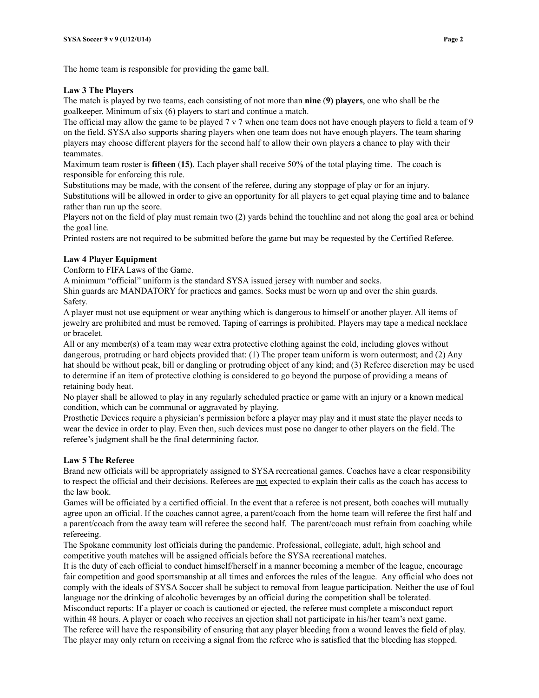#### **Law 3 The Players**

The match is played by two teams, each consisting of not more than **nine** (**9) players**, one who shall be the goalkeeper. Minimum of six (6) players to start and continue a match.

The official may allow the game to be played  $7 \vee 7$  when one team does not have enough players to field a team of 9 on the field. SYSA also supports sharing players when one team does not have enough players. The team sharing players may choose different players for the second half to allow their own players a chance to play with their teammates.

Maximum team roster is **fifteen** (**15)**. Each player shall receive 50% of the total playing time. The coach is responsible for enforcing this rule.

Substitutions may be made, with the consent of the referee, during any stoppage of play or for an injury. Substitutions will be allowed in order to give an opportunity for all players to get equal playing time and to balance rather than run up the score.

Players not on the field of play must remain two (2) yards behind the touchline and not along the goal area or behind the goal line.

Printed rosters are not required to be submitted before the game but may be requested by the Certified Referee.

## **Law 4 Player Equipment**

Conform to FIFA Laws of the Game.

A minimum "official" uniform is the standard SYSA issued jersey with number and socks.

Shin guards are MANDATORY for practices and games. Socks must be worn up and over the shin guards. Safety.

A player must not use equipment or wear anything which is dangerous to himself or another player. All items of jewelry are prohibited and must be removed. Taping of earrings is prohibited. Players may tape a medical necklace or bracelet.

All or any member(s) of a team may wear extra protective clothing against the cold, including gloves without dangerous, protruding or hard objects provided that: (1) The proper team uniform is worn outermost; and (2) Any hat should be without peak, bill or dangling or protruding object of any kind; and (3) Referee discretion may be used to determine if an item of protective clothing is considered to go beyond the purpose of providing a means of retaining body heat.

No player shall be allowed to play in any regularly scheduled practice or game with an injury or a known medical condition, which can be communal or aggravated by playing.

Prosthetic Devices require a physician's permission before a player may play and it must state the player needs to wear the device in order to play. Even then, such devices must pose no danger to other players on the field. The referee's judgment shall be the final determining factor.

## **Law 5 The Referee**

Brand new officials will be appropriately assigned to SYSA recreational games. Coaches have a clear responsibility to respect the official and their decisions. Referees are not expected to explain their calls as the coach has access to the law book.

Games will be officiated by a certified official. In the event that a referee is not present, both coaches will mutually agree upon an official. If the coaches cannot agree, a parent/coach from the home team will referee the first half and a parent/coach from the away team will referee the second half. The parent/coach must refrain from coaching while refereeing.

The Spokane community lost officials during the pandemic. Professional, collegiate, adult, high school and competitive youth matches will be assigned officials before the SYSA recreational matches.

It is the duty of each official to conduct himself/herself in a manner becoming a member of the league, encourage fair competition and good sportsmanship at all times and enforces the rules of the league. Any official who does not comply with the ideals of SYSA Soccer shall be subject to removal from league participation. Neither the use of foul language nor the drinking of alcoholic beverages by an official during the competition shall be tolerated.

Misconduct reports: If a player or coach is cautioned or ejected, the referee must complete a misconduct report within 48 hours. A player or coach who receives an ejection shall not participate in his/her team's next game. The referee will have the responsibility of ensuring that any player bleeding from a wound leaves the field of play.

The player may only return on receiving a signal from the referee who is satisfied that the bleeding has stopped.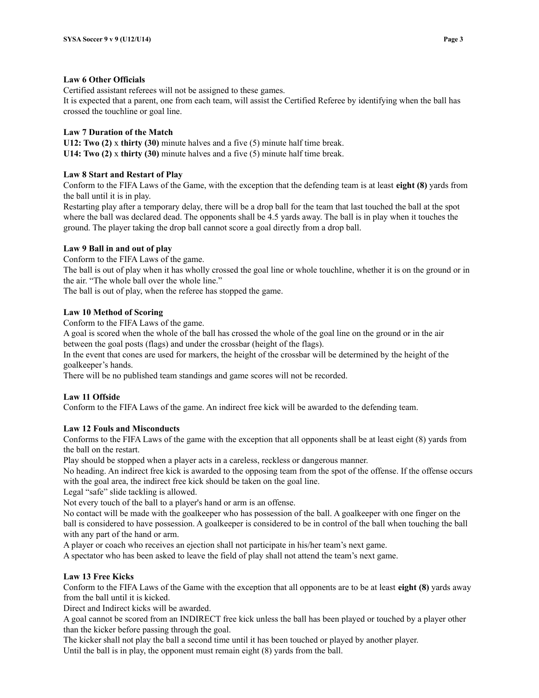#### **Law 6 Other Officials**

Certified assistant referees will not be assigned to these games.

It is expected that a parent, one from each team, will assist the Certified Referee by identifying when the ball has crossed the touchline or goal line.

#### **Law 7 Duration of the Match**

**U12: Two (2)** x **thirty (30)** minute halves and a five (5) minute half time break. **U14: Two (2)** x **thirty (30)** minute halves and a five (5) minute half time break.

# **Law 8 Start and Restart of Play**

Conform to the FIFA Laws of the Game, with the exception that the defending team is at least **eight (8)** yards from the ball until it is in play.

Restarting play after a temporary delay, there will be a drop ball for the team that last touched the ball at the spot where the ball was declared dead. The opponents shall be 4.5 yards away. The ball is in play when it touches the ground. The player taking the drop ball cannot score a goal directly from a drop ball.

#### **Law 9 Ball in and out of play**

Conform to the FIFA Laws of the game.

The ball is out of play when it has wholly crossed the goal line or whole touchline, whether it is on the ground or in the air. "The whole ball over the whole line."

The ball is out of play, when the referee has stopped the game.

#### **Law 10 Method of Scoring**

Conform to the FIFA Laws of the game.

A goal is scored when the whole of the ball has crossed the whole of the goal line on the ground or in the air between the goal posts (flags) and under the crossbar (height of the flags).

In the event that cones are used for markers, the height of the crossbar will be determined by the height of the goalkeeper's hands.

There will be no published team standings and game scores will not be recorded.

## **Law 11 Offside**

Conform to the FIFA Laws of the game. An indirect free kick will be awarded to the defending team.

## **Law 12 Fouls and Misconducts**

Conforms to the FIFA Laws of the game with the exception that all opponents shall be at least eight (8) yards from the ball on the restart.

Play should be stopped when a player acts in a careless, reckless or dangerous manner.

No heading. An indirect free kick is awarded to the opposing team from the spot of the offense. If the offense occurs with the goal area, the indirect free kick should be taken on the goal line.

Legal "safe" slide tackling is allowed.

Not every touch of the ball to a player's hand or arm is an offense.

No contact will be made with the goalkeeper who has possession of the ball. A goalkeeper with one finger on the ball is considered to have possession. A goalkeeper is considered to be in control of the ball when touching the ball with any part of the hand or arm.

A player or coach who receives an ejection shall not participate in his/her team's next game.

A spectator who has been asked to leave the field of play shall not attend the team's next game.

#### **Law 13 Free Kicks**

Conform to the FIFA Laws of the Game with the exception that all opponents are to be at least **eight (8)** yards away from the ball until it is kicked.

Direct and Indirect kicks will be awarded.

A goal cannot be scored from an INDIRECT free kick unless the ball has been played or touched by a player other than the kicker before passing through the goal.

The kicker shall not play the ball a second time until it has been touched or played by another player. Until the ball is in play, the opponent must remain eight (8) yards from the ball.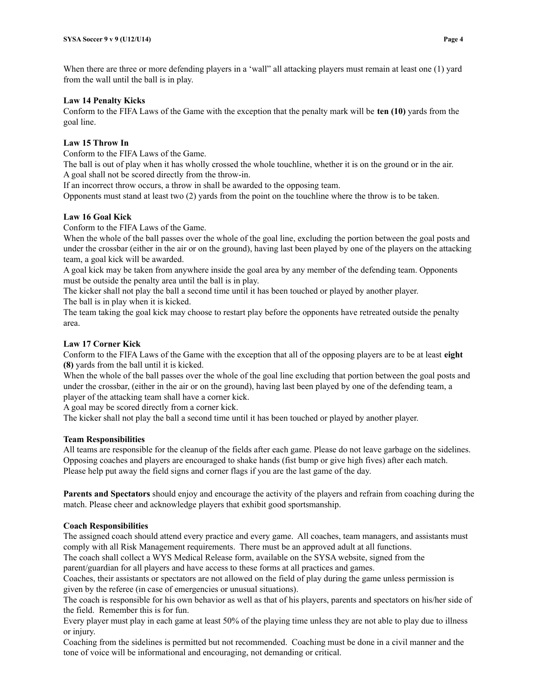When there are three or more defending players in a 'wall' all attacking players must remain at least one (1) yard from the wall until the ball is in play.

#### **Law 14 Penalty Kicks**

Conform to the FIFA Laws of the Game with the exception that the penalty mark will be **ten (10)** yards from the goal line.

## **Law 15 Throw In**

Conform to the FIFA Laws of the Game.

The ball is out of play when it has wholly crossed the whole touchline, whether it is on the ground or in the air. A goal shall not be scored directly from the throw-in.

If an incorrect throw occurs, a throw in shall be awarded to the opposing team.

Opponents must stand at least two (2) yards from the point on the touchline where the throw is to be taken.

#### **Law 16 Goal Kick**

Conform to the FIFA Laws of the Game.

When the whole of the ball passes over the whole of the goal line, excluding the portion between the goal posts and under the crossbar (either in the air or on the ground), having last been played by one of the players on the attacking team, a goal kick will be awarded.

A goal kick may be taken from anywhere inside the goal area by any member of the defending team. Opponents must be outside the penalty area until the ball is in play.

The kicker shall not play the ball a second time until it has been touched or played by another player.

The ball is in play when it is kicked.

The team taking the goal kick may choose to restart play before the opponents have retreated outside the penalty area.

## **Law 17 Corner Kick**

Conform to the FIFA Laws of the Game with the exception that all of the opposing players are to be at least **eight (8)** yards from the ball until it is kicked.

When the whole of the ball passes over the whole of the goal line excluding that portion between the goal posts and under the crossbar, (either in the air or on the ground), having last been played by one of the defending team, a player of the attacking team shall have a corner kick.

A goal may be scored directly from a corner kick.

The kicker shall not play the ball a second time until it has been touched or played by another player.

#### **Team Responsibilities**

All teams are responsible for the cleanup of the fields after each game. Please do not leave garbage on the sidelines. Opposing coaches and players are encouraged to shake hands (fist bump or give high fives) after each match. Please help put away the field signs and corner flags if you are the last game of the day.

**Parents and Spectators** should enjoy and encourage the activity of the players and refrain from coaching during the match. Please cheer and acknowledge players that exhibit good sportsmanship.

#### **Coach Responsibilities**

The assigned coach should attend every practice and every game. All coaches, team managers, and assistants must comply with all Risk Management requirements. There must be an approved adult at all functions.

The coach shall collect a WYS Medical Release form, available on the SYSA website, signed from the parent/guardian for all players and have access to these forms at all practices and games.

Coaches, their assistants or spectators are not allowed on the field of play during the game unless permission is given by the referee (in case of emergencies or unusual situations).

The coach is responsible for his own behavior as well as that of his players, parents and spectators on his/her side of the field. Remember this is for fun.

Every player must play in each game at least 50% of the playing time unless they are not able to play due to illness or injury.

Coaching from the sidelines is permitted but not recommended. Coaching must be done in a civil manner and the tone of voice will be informational and encouraging, not demanding or critical.